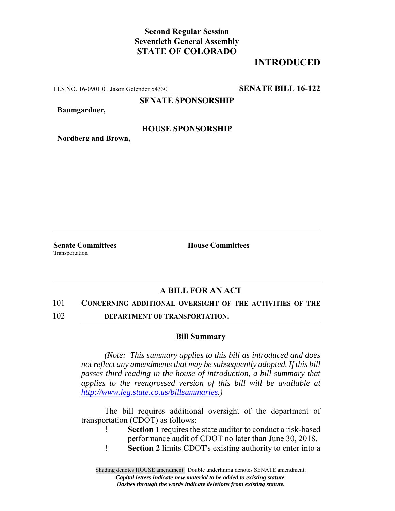# **Second Regular Session Seventieth General Assembly STATE OF COLORADO**

## **INTRODUCED**

LLS NO. 16-0901.01 Jason Gelender x4330 **SENATE BILL 16-122**

#### **SENATE SPONSORSHIP**

**Baumgardner,**

**HOUSE SPONSORSHIP**

**Nordberg and Brown,**

**Senate Committees House Committees** Transportation

## **A BILL FOR AN ACT**

#### 101 **CONCERNING ADDITIONAL OVERSIGHT OF THE ACTIVITIES OF THE**

102 **DEPARTMENT OF TRANSPORTATION.**

### **Bill Summary**

*(Note: This summary applies to this bill as introduced and does not reflect any amendments that may be subsequently adopted. If this bill passes third reading in the house of introduction, a bill summary that applies to the reengrossed version of this bill will be available at http://www.leg.state.co.us/billsummaries.)*

The bill requires additional oversight of the department of transportation (CDOT) as follows:

- ! **Section 1** requires the state auditor to conduct a risk-based performance audit of CDOT no later than June 30, 2018.
- ! **Section 2** limits CDOT's existing authority to enter into a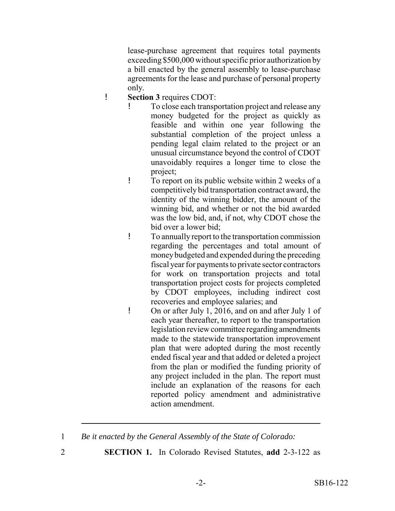lease-purchase agreement that requires total payments exceeding \$500,000 without specific prior authorization by a bill enacted by the general assembly to lease-purchase agreements for the lease and purchase of personal property only.

- ! **Section 3** requires CDOT:
	- ! To close each transportation project and release any money budgeted for the project as quickly as feasible and within one year following the substantial completion of the project unless a pending legal claim related to the project or an unusual circumstance beyond the control of CDOT unavoidably requires a longer time to close the project;
	- ! To report on its public website within 2 weeks of a competitively bid transportation contract award, the identity of the winning bidder, the amount of the winning bid, and whether or not the bid awarded was the low bid, and, if not, why CDOT chose the bid over a lower bid;
	- ! To annually report to the transportation commission regarding the percentages and total amount of money budgeted and expended during the preceding fiscal year for payments to private sector contractors for work on transportation projects and total transportation project costs for projects completed by CDOT employees, including indirect cost recoveries and employee salaries; and
	- ! On or after July 1, 2016, and on and after July 1 of each year thereafter, to report to the transportation legislation review committee regarding amendments made to the statewide transportation improvement plan that were adopted during the most recently ended fiscal year and that added or deleted a project from the plan or modified the funding priority of any project included in the plan. The report must include an explanation of the reasons for each reported policy amendment and administrative action amendment.

- 
- 2 **SECTION 1.** In Colorado Revised Statutes, **add** 2-3-122 as

<sup>1</sup> *Be it enacted by the General Assembly of the State of Colorado:*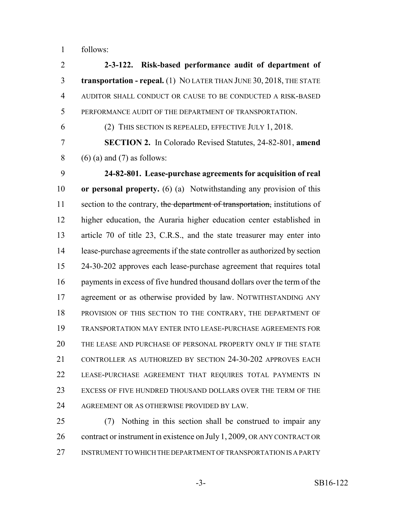follows:

| $\overline{2}$ | 2-3-122. Risk-based performance audit of department of                     |
|----------------|----------------------------------------------------------------------------|
| 3              | transportation - repeal. (1) NO LATER THAN JUNE 30, 2018, THE STATE        |
| $\overline{4}$ | AUDITOR SHALL CONDUCT OR CAUSE TO BE CONDUCTED A RISK-BASED                |
| 5              | PERFORMANCE AUDIT OF THE DEPARTMENT OF TRANSPORTATION.                     |
| 6              | (2) THIS SECTION IS REPEALED, EFFECTIVE JULY 1, 2018.                      |
| 7              | <b>SECTION 2.</b> In Colorado Revised Statutes, 24-82-801, amend           |
| 8              | $(6)$ (a) and (7) as follows:                                              |
| 9              | 24-82-801. Lease-purchase agreements for acquisition of real               |
| 10             | or personal property. (6) (a) Notwithstanding any provision of this        |
| 11             | section to the contrary, the department of transportation, institutions of |
| 12             | higher education, the Auraria higher education center established in       |
| 13             | article 70 of title 23, C.R.S., and the state treasurer may enter into     |
| 14             | lease-purchase agreements if the state controller as authorized by section |
| 15             | 24-30-202 approves each lease-purchase agreement that requires total       |
| 16             | payments in excess of five hundred thousand dollars over the term of the   |
| 17             | agreement or as otherwise provided by law. NOTWITHSTANDING ANY             |
| 18             | PROVISION OF THIS SECTION TO THE CONTRARY, THE DEPARTMENT OF               |
| 19             | TRANSPORTATION MAY ENTER INTO LEASE-PURCHASE AGREEMENTS FOR                |
| 20             | THE LEASE AND PURCHASE OF PERSONAL PROPERTY ONLY IF THE STATE              |
| 21             | CONTROLLER AS AUTHORIZED BY SECTION 24-30-202 APPROVES EACH                |
| 22             | LEASE-PURCHASE AGREEMENT THAT REQUIRES TOTAL PAYMENTS IN                   |
| 23             | EXCESS OF FIVE HUNDRED THOUSAND DOLLARS OVER THE TERM OF THE               |
| 24             | AGREEMENT OR AS OTHERWISE PROVIDED BY LAW.                                 |
| 25             | Nothing in this section shall be construed to impair any<br>(7)            |

26 contract or instrument in existence on July 1, 2009, OR ANY CONTRACT OR INSTRUMENT TO WHICH THE DEPARTMENT OF TRANSPORTATION IS A PARTY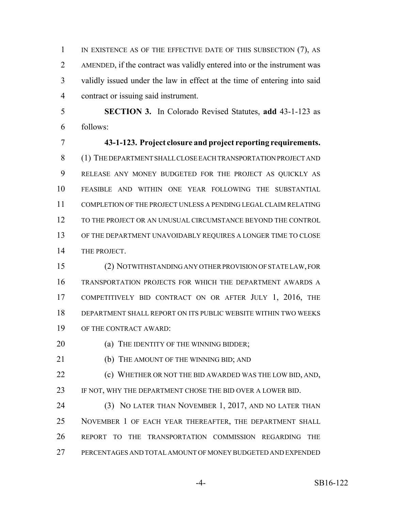IN EXISTENCE AS OF THE EFFECTIVE DATE OF THIS SUBSECTION (7), AS AMENDED, if the contract was validly entered into or the instrument was validly issued under the law in effect at the time of entering into said contract or issuing said instrument.

 **SECTION 3.** In Colorado Revised Statutes, **add** 43-1-123 as follows:

 **43-1-123. Project closure and project reporting requirements.** (1) THE DEPARTMENT SHALL CLOSE EACH TRANSPORTATION PROJECT AND RELEASE ANY MONEY BUDGETED FOR THE PROJECT AS QUICKLY AS FEASIBLE AND WITHIN ONE YEAR FOLLOWING THE SUBSTANTIAL COMPLETION OF THE PROJECT UNLESS A PENDING LEGAL CLAIM RELATING TO THE PROJECT OR AN UNUSUAL CIRCUMSTANCE BEYOND THE CONTROL OF THE DEPARTMENT UNAVOIDABLY REQUIRES A LONGER TIME TO CLOSE THE PROJECT.

 (2) NOTWITHSTANDING ANY OTHER PROVISION OF STATE LAW, FOR TRANSPORTATION PROJECTS FOR WHICH THE DEPARTMENT AWARDS A COMPETITIVELY BID CONTRACT ON OR AFTER JULY 1, 2016, THE DEPARTMENT SHALL REPORT ON ITS PUBLIC WEBSITE WITHIN TWO WEEKS OF THE CONTRACT AWARD:

**(a) THE IDENTITY OF THE WINNING BIDDER;** 

21 (b) THE AMOUNT OF THE WINNING BID; AND

 (c) WHETHER OR NOT THE BID AWARDED WAS THE LOW BID, AND, IF NOT, WHY THE DEPARTMENT CHOSE THE BID OVER A LOWER BID.

 (3) NO LATER THAN NOVEMBER 1, 2017, AND NO LATER THAN NOVEMBER 1 OF EACH YEAR THEREAFTER, THE DEPARTMENT SHALL REPORT TO THE TRANSPORTATION COMMISSION REGARDING THE PERCENTAGES AND TOTAL AMOUNT OF MONEY BUDGETED AND EXPENDED